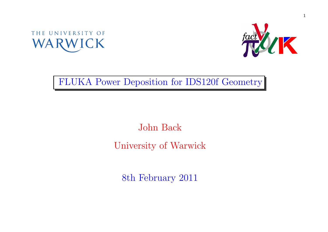



#### FLUKA Power Deposition for IDS120f Geometry

# John BackUniversity of Warwick

8th February <sup>2011</sup>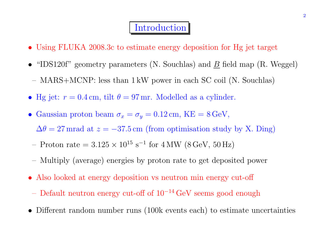#### **Introduction**

- Using FLUKA 2008.3c to estimate energy deposition for Hg jet target
- "IDS120f" geometry parameters (N. Souchlas) and  $\underline{B}$  field map (R. Weggel) MARS+MCNP: less than <sup>1</sup> kW power in each SC coil (N. Souchlas)
- Hg jet:  $r = 0.4$  cm, tilt  $\theta = 97$  mr. Modelled as a cylinder.
- Gaussian proton beam  $\sigma_x = \sigma_y = 0.12 \text{ cm}$ , KE = 8 GeV,

 $\Delta\theta = 27$  mrad at  $z = -37.5$  cm (from optimisation study by X. Ding)

- Proton rate =  $3.125 \times 10^{15} \text{ s}^{-1}$  for  $4 \text{ MW}$  (8 GeV, 50 Hz)
- Multiply (average) energies by proton rate to get deposited power
- Also looked at energy deposition vs neutron min energy cut-off
	- Default neutron energy cut-off of  $10^{-14}$  GeV seems good enough
- •Different random number runs (100k events each) to estimate uncertainties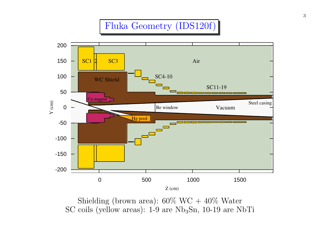## Fluka Geometry (IDS120f)



Shielding (brown area):  $60\%$  WC +  $40\%$  Water  $SC$  coils (yellow areas):  $1-9$  are  $Nb<sub>3</sub>Sn$ ,  $10-19$  are  $NbTi$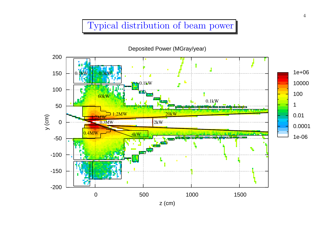#### Typical distribution of beam power

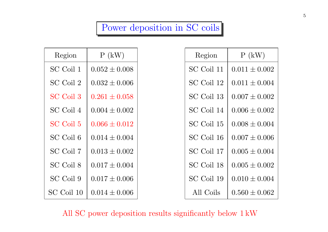## Power deposition in SC coils

| Region     | P(kW)             | Region     | P(kW)             |
|------------|-------------------|------------|-------------------|
| SC Coil 1  | $0.052 \pm 0.008$ | SC Coil 11 | $0.011 \pm 0.002$ |
| SC Coil 2  | $0.032 \pm 0.006$ | SC Coil 12 | $0.011 \pm 0.004$ |
| SC Coil 3  | $0.261 \pm 0.058$ | SC Coil 13 | $0.007 \pm 0.002$ |
| SC Coil 4  | $0.004 \pm 0.002$ | SC Coil 14 | $0.006 \pm 0.002$ |
| SC Coil 5  | $0.066 \pm 0.012$ | SC Coil 15 | $0.008 \pm 0.004$ |
| SC Coil 6  | $0.014 \pm 0.004$ | SC Coil 16 | $0.007 \pm 0.006$ |
| SC Coil 7  | $0.013 \pm 0.002$ | SC Coil 17 | $0.005 \pm 0.004$ |
| SC Coil 8  | $0.017 \pm 0.004$ | SC Coil 18 | $0.005 \pm 0.002$ |
| SC Coil 9  | $0.017 \pm 0.006$ | SC Coil 19 | $0.010 \pm 0.004$ |
| SC Coil 10 | $0.014 \pm 0.006$ | All Coils  | $0.560 \pm 0.062$ |

All SC power deposition results significantly below <sup>1</sup> kW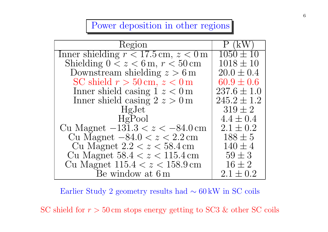#### Power deposition in other regions

| Region                                   | (kW)            |
|------------------------------------------|-----------------|
| Inner shielding $r < 17.5$ cm, $z < 0$ m | $1050 \pm 10$   |
| Shielding $0 < z < 6$ m, $r < 50$ cm     | $1018 \pm 10$   |
| Downstream shielding $z > 6$ m           | $20.0 \pm 0.4$  |
| SC shield $r > 50$ cm, $z < 0$ m         | $60.9 \pm 0.6$  |
| Inner shield casing $1 z < 0$ m          | $237.6 \pm 1.0$ |
| Inner shield casing $2 z > 0$ m          | $245.2 \pm 1.2$ |
| HgJet                                    | $319 \pm 2$     |
| HgPool                                   | $4.4 \pm 0.4$   |
| Cu Magnet $-131.3 < z < -84.0$ cm        | $2.1 \pm 0.2$   |
| Cu Magnet $-84.0 < z < 2.2$ cm           | $188 \pm 5$     |
| Cu Magnet $2.2 < z < 58.4$ cm            | $140 \pm 4$     |
| Cu Magnet $58.4 < z < 115.4$ cm          | $59 \pm 3$      |
| Cu Magnet $115.4 < z < 158.9$ cm         | $16 \pm 2$      |
| Be window at 6 m                         | $2.1 \pm 0.2$   |

Earlier Study <sup>2</sup> geometry results had∼ <sup>60</sup> kW in SC coils

SC shield for  $r > 50 \,\text{cm}$  stops energy getting to SC3 & other SC coils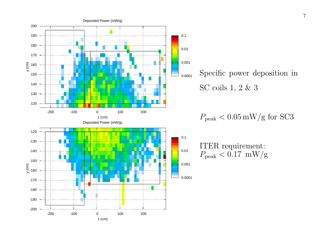

Specific power deposition inSC coils 1, <sup>2</sup> & <sup>3</sup>

 $P_{\rm peak} < 0.05 \, \rm mW/g \text{ for } SC3$ 

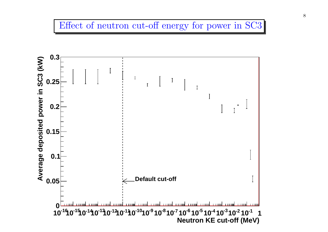#### Effect of neutron cut-off energy for power in SC3